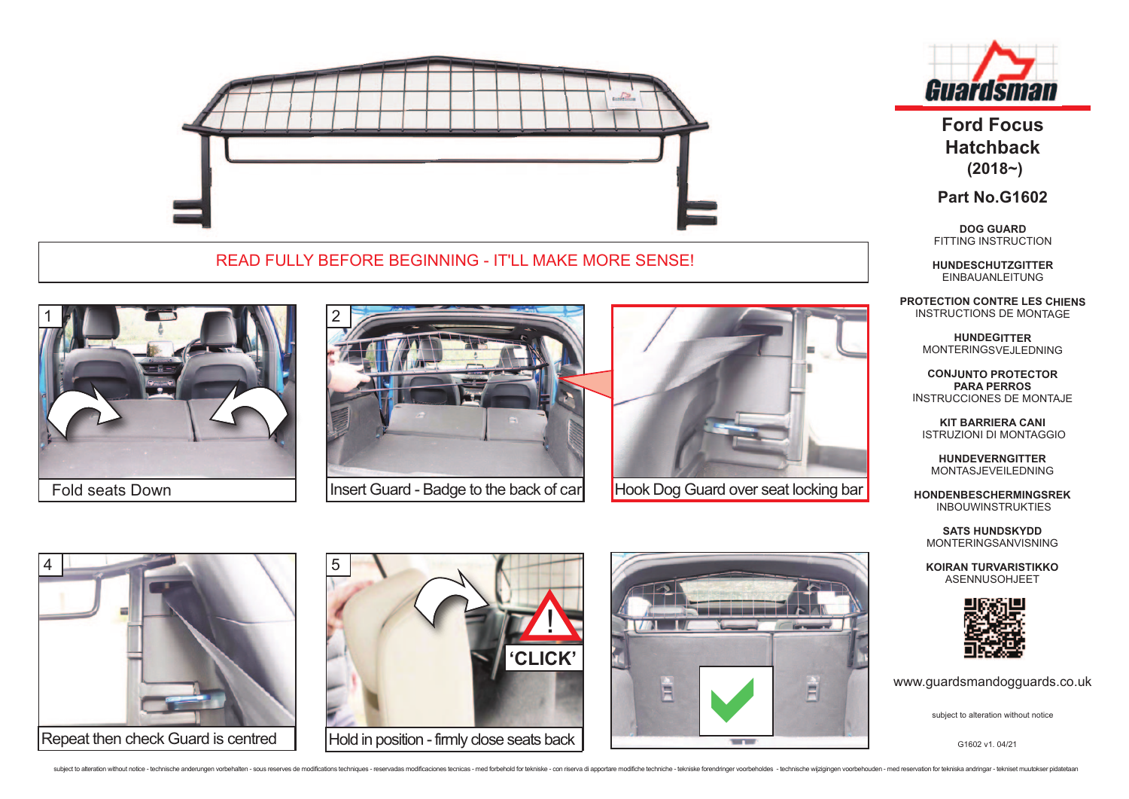

## READ FULLY BEFORE BEGINNING - IT'LL MAKE MORE SENSE!



Fold seats Down



Insert Guard - Badge to the back of car



**Hook Dog Guard over seat locking bar** 









**Ford Focus Hatchback (2018~)** 

**Part No.G1602**

**DOG GUARD**  FITTING INSTRUCTION

**HUNDESCHUTZGITTER** EINBAUANLEITUNG

**PROTECTION CONTRE LES CHIENS**  INSTRUCTIONS DE MONTAGE

> **HUNDEGITTER**  MONTERINGSVEJLEDNING

**CONJUNTO PROTECTOR PARA PERROS** INSTRUCCIONES DE MONTAJE

**KIT BARRIERA CANI** ISTRUZIONI DI MONTAGGIO

**HUNDEVERNGITTER** MONTASJEVEILEDNING

**HONDENBESCHERMINGSREK** INBOUWINSTRUKTIES

**SATS HUNDSKYDD** MONTERINGSANVISNING

**KOIRAN TURVARISTIKKO** ASENNUSOHJEET



www.guardsmandogguards.co.uk

G1602 v1. 04/21